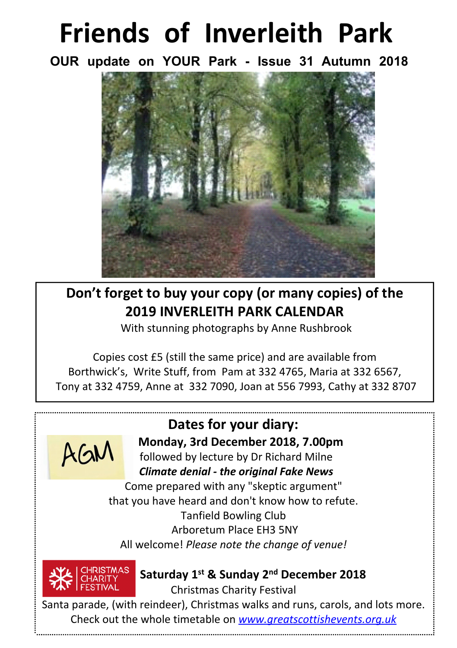# **Friends of Inverleith Park**

**OUR update on YOUR Park - Issue 31 Autumn 2018**



**Don't forget to buy your copy (or many copies) of the 2019 INVERLEITH PARK CALENDAR**

With stunning photographs by Anne Rushbrook

Copies cost £5 (still the same price) and are available from Borthwick's, Write Stuff, from Pam at 332 4765, Maria at 332 6567, Tony at 332 4759, Anne at 332 7090, Joan at 556 7993, Cathy at 332 8707



## **Dates for your diary:**

 **Monday, 3rd December 2018, 7.00pm**

 followed by lecture by Dr Richard Milne  *Climate denial - the original Fake News*

Come prepared with any "skeptic argument" that you have heard and don't know how to refute. Tanfield Bowling Club Arboretum Place EH3 5NY All welcome! *Please note the change of venue!*



#### **Saturday 1st & Sunday 2nd December 2018**

Christmas Charity Festival

Santa parade, (with reindeer), Christmas walks and runs, carols, and lots more. Check out the whole timetable on *www.greatscottishevents.org.uk*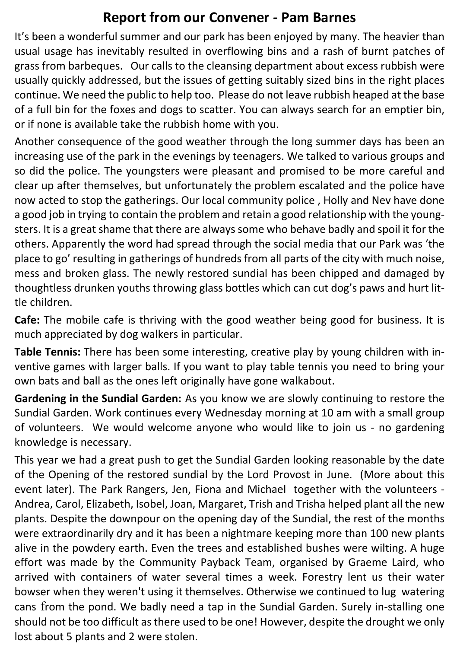### **Report from our Convener - Pam Barnes**

It's been a wonderful summer and our park has been enjoyed by many. The heavier than usual usage has inevitably resulted in overflowing bins and a rash of burnt patches of grass from barbeques. Our calls to the cleansing department about excess rubbish were usually quickly addressed, but the issues of getting suitably sized bins in the right places continue. We need the public to help too. Please do not leave rubbish heaped at the base of a full bin for the foxes and dogs to scatter. You can always search for an emptier bin, or if none is available take the rubbish home with you.

Another consequence of the good weather through the long summer days has been an increasing use of the park in the evenings by teenagers. We talked to various groups and so did the police. The youngsters were pleasant and promised to be more careful and clear up after themselves, but unfortunately the problem escalated and the police have now acted to stop the gatherings. Our local community police , Holly and Nev have done a good job in trying to contain the problem and retain a good relationship with the youngsters. It is a great shame that there are always some who behave badly and spoil it for the others. Apparently the word had spread through the social media that our Park was 'the place to go' resulting in gatherings of hundreds from all parts of the city with much noise, mess and broken glass. The newly restored sundial has been chipped and damaged by thoughtless drunken youths throwing glass bottles which can cut dog's paws and hurt little children.

**Cafe:** The mobile cafe is thriving with the good weather being good for business. It is much appreciated by dog walkers in particular.

**Table Tennis:** There has been some interesting, creative play by young children with inventive games with larger balls. If you want to play table tennis you need to bring your own bats and ball as the ones left originally have gone walkabout.

**Gardening in the Sundial Garden:** As you know we are slowly continuing to restore the Sundial Garden. Work continues every Wednesday morning at 10 am with a small group of volunteers. We would welcome anyone who would like to join us - no gardening knowledge is necessary.

This year we had a great push to get the Sundial Garden looking reasonable by the date of the Opening of the restored sundial by the Lord Provost in June. (More about this event later). The Park Rangers, Jen, Fiona and Michael together with the volunteers - Andrea, Carol, Elizabeth, Isobel, Joan, Margaret, Trish and Trisha helped plant all the new plants. Despite the downpour on the opening day of the Sundial, the rest of the months were extraordinarily dry and it has been a nightmare keeping more than 100 new plants alive in the powdery earth. Even the trees and established bushes were wilting. A huge effort was made by the Community Payback Team, organised by Graeme Laird, who arrived with containers of water several times a week. Forestry lent us their water bowser when they weren't using it themselves. Otherwise we continued to lug watering cans from the pond. We badly need a tap in the Sundial Garden. Surely in-stalling one should not be too difficult as there used to be one! However, despite the drought we only lost about 5 plants and 2 were stolen.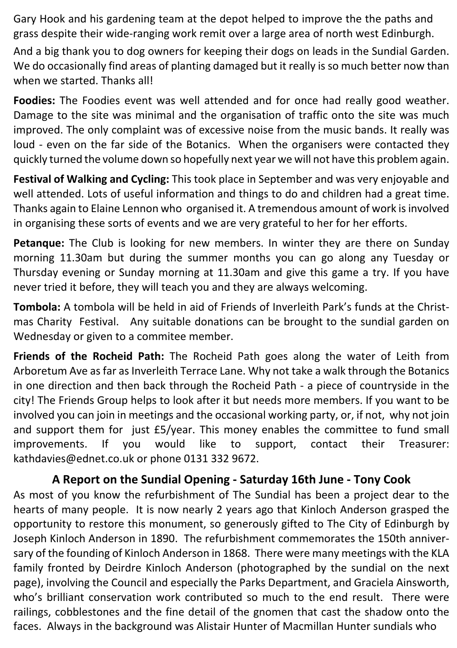Gary Hook and his gardening team at the depot helped to improve the the paths and grass despite their wide-ranging work remit over a large area of north west Edinburgh.

And a big thank you to dog owners for keeping their dogs on leads in the Sundial Garden. We do occasionally find areas of planting damaged but it really is so much better now than when we started. Thanks all!

**Foodies:** The Foodies event was well attended and for once had really good weather. Damage to the site was minimal and the organisation of traffic onto the site was much improved. The only complaint was of excessive noise from the music bands. It really was loud - even on the far side of the Botanics. When the organisers were contacted they quickly turned the volume down so hopefully next year we will not have this problem again.

**Festival of Walking and Cycling:** This took place in September and was very enjoyable and well attended. Lots of useful information and things to do and children had a great time. Thanks again to Elaine Lennon who organised it. A tremendous amount of work is involved in organising these sorts of events and we are very grateful to her for her efforts.

**Petanque:** The Club is looking for new members. In winter they are there on Sunday morning 11.30am but during the summer months you can go along any Tuesday or Thursday evening or Sunday morning at 11.30am and give this game a try. If you have never tried it before, they will teach you and they are always welcoming.

**Tombola:** A tombola will be held in aid of Friends of Inverleith Park's funds at the Christmas Charity Festival. Any suitable donations can be brought to the sundial garden on Wednesday or given to a commitee member.

**Friends of the Rocheid Path:** The Rocheid Path goes along the water of Leith from Arboretum Ave as far as Inverleith Terrace Lane. Why not take a walk through the Botanics in one direction and then back through the Rocheid Path - a piece of countryside in the city! The Friends Group helps to look after it but needs more members. If you want to be involved you can join in meetings and the occasional working party, or, if not, why not join and support them for just £5/year. This money enables the committee to fund small improvements. If you would like to support, contact their Treasurer: kathdavies@ednet.co.uk or phone 0131 332 9672.

#### **A Report on the Sundial Opening - Saturday 16th June - Tony Cook**

As most of you know the refurbishment of The Sundial has been a project dear to the hearts of many people. It is now nearly 2 years ago that Kinloch Anderson grasped the opportunity to restore this monument, so generously gifted to The City of Edinburgh by Joseph Kinloch Anderson in 1890. The refurbishment commemorates the 150th anniversary of the founding of Kinloch Anderson in 1868. There were many meetings with the KLA family fronted by Deirdre Kinloch Anderson (photographed by the sundial on the next page), involving the Council and especially the Parks Department, and Graciela Ainsworth, who's brilliant conservation work contributed so much to the end result. There were railings, cobblestones and the fine detail of the gnomen that cast the shadow onto the faces. Always in the background was Alistair Hunter of Macmillan Hunter sundials who